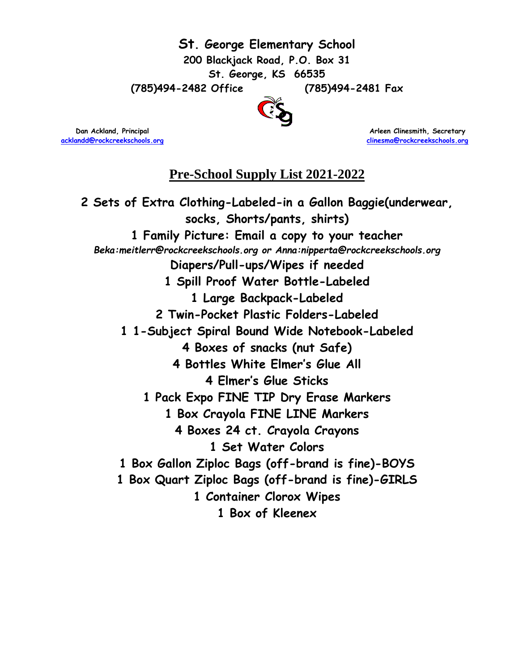

**[acklandd@rockcreekschools.org](mailto:acklandd@rockcreekschools.org) [clinesma@rockcreekschools.org](mailto:clinesma@rockcreekschools.org)** 

**Dan Ackland, Principal Arleen Clinesmith, Secretary and Arleen Clinesmith, Secretary** 

#### **Pre-School Supply List 2021-2022**

**2 Sets of Extra Clothing-Labeled-in a Gallon Baggie(underwear, socks, Shorts/pants, shirts) 1 Family Picture: Email a copy to your teacher**  *Beka:meitlerr@rockcreekschools.org or Anna:nipperta@rockcreekschools.org* **Diapers/Pull-ups/Wipes if needed 1 Spill Proof Water Bottle-Labeled 1 Large Backpack-Labeled 2 Twin-Pocket Plastic Folders-Labeled 1 1-Subject Spiral Bound Wide Notebook-Labeled 4 Boxes of snacks (nut Safe) 4 Bottles White Elmer's Glue All 4 Elmer's Glue Sticks 1 Pack Expo FINE TIP Dry Erase Markers 1 Box Crayola FINE LINE Markers 4 Boxes 24 ct. Crayola Crayons 1 Set Water Colors 1 Box Gallon Ziploc Bags (off-brand is fine)-BOYS 1 Box Quart Ziploc Bags (off-brand is fine)-GIRLS 1 Container Clorox Wipes 1 Box of Kleenex**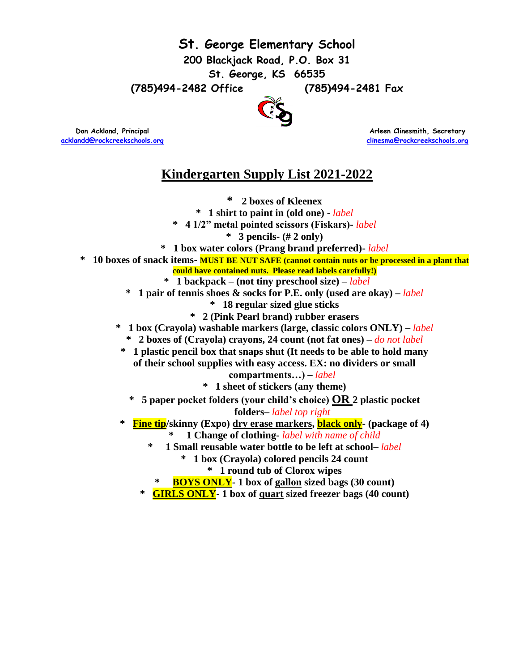**St. George Elementary School**

**200 Blackjack Road, P.O. Box 31**

**St. George, KS 66535**

**(785)494-2482 Office (785)494-2481 Fax**



**[acklandd@rockcreekschools.org](mailto:acklandd@rockcreekschools.org) [clinesma@rockcreekschools.org](mailto:clinesma@rockcreekschools.org)** 

 **Dan Ackland, Principal Arleen Clinesmith, Secretary and Arleen Clinesmith, Secretary** 

## **Kindergarten Supply List 2021-2022**

**\* 2 boxes of Kleenex \* 1 shirt to paint in (old one) -** *label* **\* 4 1/2" metal pointed scissors (Fiskars)-** *label* **\* 3 pencils- (# 2 only) \* 1 box water colors (Prang brand preferred)-** *label* **\* 10 boxes of snack items- MUST BE NUT SAFE (cannot contain nuts or be processed in a plant that could have contained nuts. Please read labels carefully!) \* 1 backpack – (not tiny preschool size) –** *label* **\* 1 pair of tennis shoes & socks for P.E. only (used are okay) –** *label* **\* 18 regular sized glue sticks \* 2 (Pink Pearl brand) rubber erasers \* 1 box (Crayola) washable markers (large, classic colors ONLY) –** *label* **\* 2 boxes of (Crayola) crayons, 24 count (not fat ones) –** *do not label* **\* 1 plastic pencil box that snaps shut (It needs to be able to hold many of their school supplies with easy access. EX: no dividers or small compartments…) –** *label* **\* 1 sheet of stickers (any theme) \* 5 paper pocket folders (your child's choice) OR 2 plastic pocket folders–** *label top right* **\* Fine tip/skinny (Expo) dry erase markers, black only- (package of 4) \* 1 Change of clothing-** *label with name of child* **\* 1 Small reusable water bottle to be left at school–** *label* **\* 1 box (Crayola) colored pencils 24 count \* 1 round tub of Clorox wipes \* BOYS ONLY- 1 box of gallon sized bags (30 count) \* GIRLS ONLY- 1 box of quart sized freezer bags (40 count)**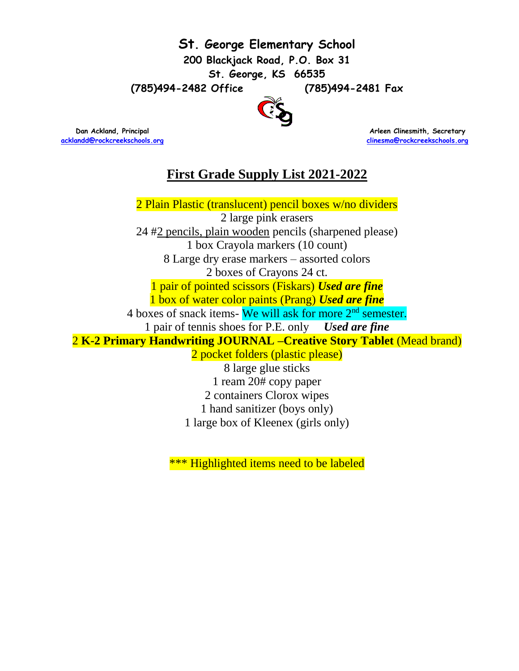

**[acklandd@rockcreekschools.org](mailto:acklandd@rockcreekschools.org) [clinesma@rockcreekschools.org](mailto:clinesma@rockcreekschools.org)** 

**Dan Ackland, Principal Arleen Clinesmith, Secretary and Arleen Clinesmith, Secretary and Arleen Clinesmith, Secretary** 

## **First Grade Supply List 2021-2022**

2 Plain Plastic (translucent) pencil boxes w/no dividers 2 large pink erasers 24 #2 pencils, plain wooden pencils (sharpened please) 1 box Crayola markers (10 count) 8 Large dry erase markers – assorted colors 2 boxes of Crayons 24 ct. 1 pair of pointed scissors (Fiskars) *Used are fine* 1 box of water color paints (Prang) *Used are fine* 4 boxes of snack items- We will ask for more 2<sup>nd</sup> semester. 1 pair of tennis shoes for P.E. only *Used are fine* 2 **K-2 Primary Handwriting JOURNAL –Creative Story Tablet** (Mead brand) 2 pocket folders (plastic please) 8 large glue sticks 1 ream 20# copy paper 2 containers Clorox wipes

1 hand sanitizer (boys only)

1 large box of Kleenex (girls only)

\*\*\* Highlighted items need to be labeled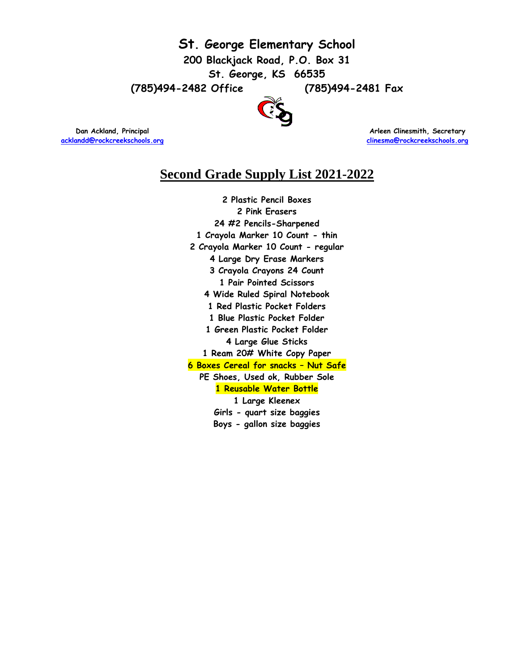

**[acklandd@rockcreekschools.org](mailto:acklandd@rockcreekschools.org) [clinesma@rockcreekschools.org](mailto:clinesma@rockcreekschools.org)** 

**Dan Ackland, Principal Arleen Clinesmith, Secretary and Arleen Clinesmith, Secretary and Arleen Clinesmith, Secretary** 

### **Second Grade Supply List 2021-2022**

**2 Plastic Pencil Boxes 2 Pink Erasers 24 #2 Pencils-Sharpened 1 Crayola Marker 10 Count - thin 2 Crayola Marker 10 Count - regular 4 Large Dry Erase Markers 3 Crayola Crayons 24 Count 1 Pair Pointed Scissors 4 Wide Ruled Spiral Notebook 1 Red Plastic Pocket Folders 1 Blue Plastic Pocket Folder 1 Green Plastic Pocket Folder 4 Large Glue Sticks 1 Ream 20# White Copy Paper 6 Boxes Cereal for snacks – Nut Safe PE Shoes, Used ok, Rubber Sole 1 Reusable Water Bottle 1 Large Kleenex Girls - quart size baggies Boys - gallon size baggies**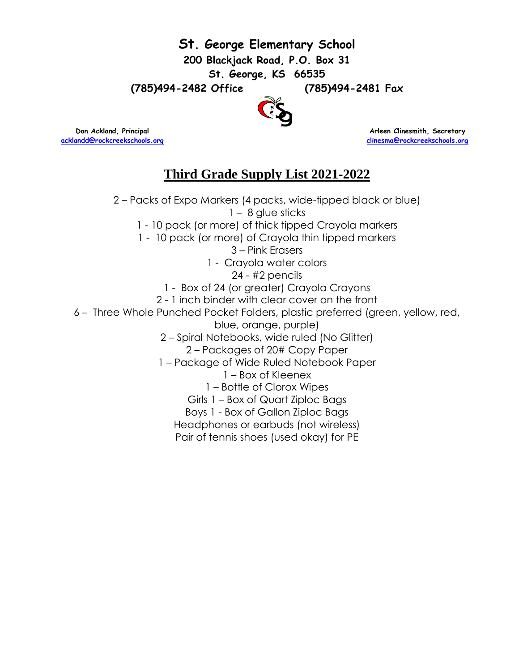

**[acklandd@rockcreekschools.org](mailto:acklandd@rockcreekschools.org) [clinesma@rockcreekschools.org](mailto:clinesma@rockcreekschools.org)** 

**Dan Ackland, Principal Arleen Clinesmith, Secretary and Arleen Clinesmith, Secretary** 

# **Third Grade Supply List 2021-2022**

2 – Packs of Expo Markers (4 packs, wide-tipped black or blue) 1 – 8 glue sticks 1 - 10 pack (or more) of thick tipped Crayola markers 1 - 10 pack (or more) of Crayola thin tipped markers 3 – Pink Erasers 1 - Crayola water colors 24 - #2 pencils 1 - Box of 24 (or greater) Crayola Crayons 2 - 1 inch binder with clear cover on the front 6 – Three Whole Punched Pocket Folders, plastic preferred (green, yellow, red, blue, orange, purple) 2 – Spiral Notebooks, wide ruled (No Glitter) 2 – Packages of 20# Copy Paper 1 – Package of Wide Ruled Notebook Paper 1 – Box of Kleenex 1 – Bottle of Clorox Wipes Girls 1 – Box of Quart Ziploc Bags Boys 1 - Box of Gallon Ziploc Bags Headphones or earbuds (not wireless) Pair of tennis shoes (used okay) for PE